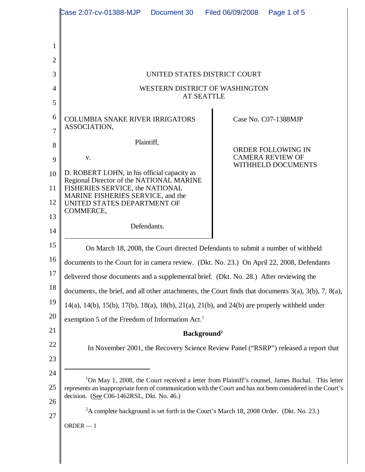|          | Case 2:07-cv-01388-MJP<br>Document 30                                                                                                                                                                                                                                    | Filed 06/09/2008<br>Page 1 of 5                                            |
|----------|--------------------------------------------------------------------------------------------------------------------------------------------------------------------------------------------------------------------------------------------------------------------------|----------------------------------------------------------------------------|
|          |                                                                                                                                                                                                                                                                          |                                                                            |
| 1        |                                                                                                                                                                                                                                                                          |                                                                            |
| 2        |                                                                                                                                                                                                                                                                          |                                                                            |
| 3        | UNITED STATES DISTRICT COURT                                                                                                                                                                                                                                             |                                                                            |
| 4        | WESTERN DISTRICT OF WASHINGTON<br><b>AT SEATTLE</b>                                                                                                                                                                                                                      |                                                                            |
| 5        |                                                                                                                                                                                                                                                                          |                                                                            |
| 6<br>7   | <b>COLUMBIA SNAKE RIVER IRRIGATORS</b><br>ASSOCIATION,                                                                                                                                                                                                                   | Case No. C07-1388MJP                                                       |
| 8        | Plaintiff,                                                                                                                                                                                                                                                               |                                                                            |
| 9        | V.                                                                                                                                                                                                                                                                       | <b>ORDER FOLLOWING IN</b><br><b>CAMERA REVIEW OF</b><br>WITHHELD DOCUMENTS |
| 10       | D. ROBERT LOHN, in his official capacity as                                                                                                                                                                                                                              |                                                                            |
| 11       | Regional Director of the NATIONAL MARINE<br>FISHERIES SERVICE, the NATIONAL                                                                                                                                                                                              |                                                                            |
| 12       | MARINE FISHERIES SERVICE, and the<br>UNITED STATES DEPARTMENT OF                                                                                                                                                                                                         |                                                                            |
| 13       | COMMERCE,                                                                                                                                                                                                                                                                |                                                                            |
| 14       | Defendants.                                                                                                                                                                                                                                                              |                                                                            |
| 15       | On March 18, 2008, the Court directed Defendants to submit a number of withheld                                                                                                                                                                                          |                                                                            |
| 16       | documents to the Court for in camera review. (Dkt. No. 23.) On April 22, 2008, Defendants                                                                                                                                                                                |                                                                            |
| 17       | delivered those documents and a supplemental brief. (Dkt. No. 28.) After reviewing the                                                                                                                                                                                   |                                                                            |
| 18       | documents, the brief, and all other attachments, the Court finds that documents $3(a)$ , $3(b)$ , $7$ , $8(a)$ ,                                                                                                                                                         |                                                                            |
| 19       | 14(a), 14(b), 15(b), 17(b), 18(a), 18(b), 21(a), 21(b), and 24(b) are properly withheld under                                                                                                                                                                            |                                                                            |
| 20       | exemption 5 of the Freedom of Information Act. <sup>1</sup>                                                                                                                                                                                                              |                                                                            |
| 21       | Background <sup>2</sup>                                                                                                                                                                                                                                                  |                                                                            |
| 22       | In November 2001, the Recovery Science Review Panel ("RSRP") released a report that                                                                                                                                                                                      |                                                                            |
| 23       |                                                                                                                                                                                                                                                                          |                                                                            |
| 24       | <sup>1</sup> On May 1, 2008, the Court received a letter from Plaintiff's counsel, James Buchal. This letter<br>represents an inappropriate form of communication with the Court and has not been considered in the Court's<br>decision. (See C06-1462RSL, Dkt. No. 46.) |                                                                            |
| 25       |                                                                                                                                                                                                                                                                          |                                                                            |
| 26<br>27 | ${}^{2}$ A complete background is set forth in the Court's March 18, 2008 Order. (Dkt. No. 23.)                                                                                                                                                                          |                                                                            |
|          | $ORDER - 1$                                                                                                                                                                                                                                                              |                                                                            |
|          |                                                                                                                                                                                                                                                                          |                                                                            |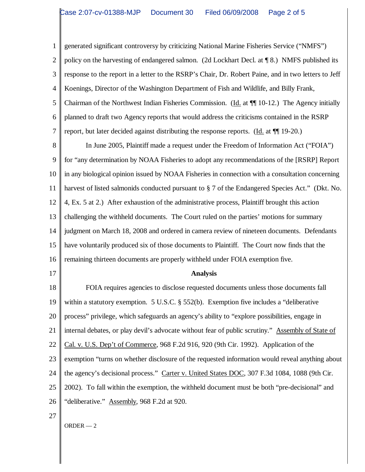1 2 3 4 5 6 7 generated significant controversy by criticizing National Marine Fisheries Service ("NMFS") policy on the harvesting of endangered salmon. (2d Lockhart Decl. at ¶ 8.) NMFS published its response to the report in a letter to the RSRP's Chair, Dr. Robert Paine, and in two letters to Jeff Koenings, Director of the Washington Department of Fish and Wildlife, and Billy Frank, Chairman of the Northwest Indian Fisheries Commission. (Id. at ¶¶ 10-12.) The Agency initially planned to draft two Agency reports that would address the criticisms contained in the RSRP report, but later decided against distributing the response reports. (Id. at ¶¶ 19-20.)

8 9 10 11 12 13 14 15 16 In June 2005, Plaintiff made a request under the Freedom of Information Act ("FOIA") for "any determination by NOAA Fisheries to adopt any recommendations of the [RSRP] Report in any biological opinion issued by NOAA Fisheries in connection with a consultation concerning harvest of listed salmonids conducted pursuant to § 7 of the Endangered Species Act." (Dkt. No. 4, Ex. 5 at 2.) After exhaustion of the administrative process, Plaintiff brought this action challenging the withheld documents. The Court ruled on the parties' motions for summary judgment on March 18, 2008 and ordered in camera review of nineteen documents. Defendants have voluntarily produced six of those documents to Plaintiff. The Court now finds that the remaining thirteen documents are properly withheld under FOIA exemption five.

17

## **Analysis**

18 19 20 21 22 23 24 25 26 FOIA requires agencies to disclose requested documents unless those documents fall within a statutory exemption. 5 U.S.C. § 552(b). Exemption five includes a "deliberative process" privilege, which safeguards an agency's ability to "explore possibilities, engage in internal debates, or play devil's advocate without fear of public scrutiny." Assembly of State of Cal. v. U.S. Dep't of Commerce, 968 F.2d 916, 920 (9th Cir. 1992). Application of the exemption "turns on whether disclosure of the requested information would reveal anything about the agency's decisional process." Carter v. United States DOC, 307 F.3d 1084, 1088 (9th Cir. 2002). To fall within the exemption, the withheld document must be both "pre-decisional" and "deliberative." Assembly, 968 F.2d at 920.

27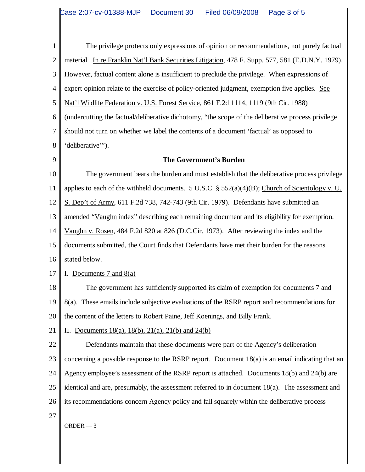1 2 3 4 5 6 7 8 9 10 11 12 The privilege protects only expressions of opinion or recommendations, not purely factual material. In re Franklin Nat'l Bank Securities Litigation, 478 F. Supp. 577, 581 (E.D.N.Y. 1979). However, factual content alone is insufficient to preclude the privilege. When expressions of expert opinion relate to the exercise of policy-oriented judgment, exemption five applies. See Nat'l Wildlife Federation v. U.S. Forest Service, 861 F.2d 1114, 1119 (9th Cir. 1988) (undercutting the factual/deliberative dichotomy, "the scope of the deliberative process privilege should not turn on whether we label the contents of a document 'factual' as opposed to 'deliberative'"). **The Government's Burden** The government bears the burden and must establish that the deliberative process privilege applies to each of the withheld documents. 5 U.S.C.  $\S$  552(a)(4)(B); Church of Scientology v. U. S. Dep't of Army, 611 F.2d 738, 742-743 (9th Cir. 1979). Defendants have submitted an

13 amended "Vaughn index" describing each remaining document and its eligibility for exemption.

14 15 16 Vaughn v. Rosen, 484 F.2d 820 at 826 (D.C.Cir. 1973). After reviewing the index and the documents submitted, the Court finds that Defendants have met their burden for the reasons stated below.

- 
- 17 I. Documents  $7$  and  $8(a)$

18 19 20 The government has sufficiently supported its claim of exemption for documents 7 and 8(a). These emails include subjective evaluations of the RSRP report and recommendations for the content of the letters to Robert Paine, Jeff Koenings, and Billy Frank.

21 II. Documents 18(a), 18(b), 21(a), 21(b) and 24(b)

22 23 24 25 26 27 Defendants maintain that these documents were part of the Agency's deliberation concerning a possible response to the RSRP report. Document 18(a) is an email indicating that an Agency employee's assessment of the RSRP report is attached. Documents 18(b) and 24(b) are identical and are, presumably, the assessment referred to in document 18(a). The assessment and its recommendations concern Agency policy and fall squarely within the deliberative process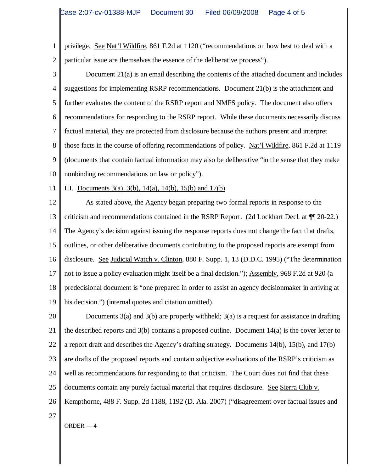1 2 privilege. See Nat'l Wildfire, 861 F.2d at 1120 ("recommendations on how best to deal with a particular issue are themselves the essence of the deliberative process").

3 4 5 6 7 8 9 10 Document 21(a) is an email describing the contents of the attached document and includes suggestions for implementing RSRP recommendations. Document 21(b) is the attachment and further evaluates the content of the RSRP report and NMFS policy. The document also offers recommendations for responding to the RSRP report. While these documents necessarily discuss factual material, they are protected from disclosure because the authors present and interpret those facts in the course of offering recommendations of policy. Nat'l Wildfire, 861 F.2d at 1119 (documents that contain factual information may also be deliberative "in the sense that they make nonbinding recommendations on law or policy").

11 III. Documents  $3(a)$ ,  $3(b)$ ,  $14(a)$ ,  $14(b)$ ,  $15(b)$  and  $17(b)$ 

12 13 14 15 16 17 18 19 As stated above, the Agency began preparing two formal reports in response to the criticism and recommendations contained in the RSRP Report. (2d Lockhart Decl. at ¶¶ 20-22.) The Agency's decision against issuing the response reports does not change the fact that drafts, outlines, or other deliberative documents contributing to the proposed reports are exempt from disclosure. See Judicial Watch v. Clinton, 880 F. Supp. 1, 13 (D.D.C. 1995) ("The determination not to issue a policy evaluation might itself be a final decision."); Assembly, 968 F.2d at 920 (a predecisional document is "one prepared in order to assist an agency decisionmaker in arriving at his decision.") (internal quotes and citation omitted).

20 21 22 23 24 25 26 27 Documents  $3(a)$  and  $3(b)$  are properly withheld;  $3(a)$  is a request for assistance in drafting the described reports and 3(b) contains a proposed outline. Document 14(a) is the cover letter to a report draft and describes the Agency's drafting strategy. Documents 14(b), 15(b), and 17(b) are drafts of the proposed reports and contain subjective evaluations of the RSRP's criticism as well as recommendations for responding to that criticism. The Court does not find that these documents contain any purely factual material that requires disclosure. See Sierra Club v. Kempthorne, 488 F. Supp. 2d 1188, 1192 (D. Ala. 2007) ("disagreement over factual issues and